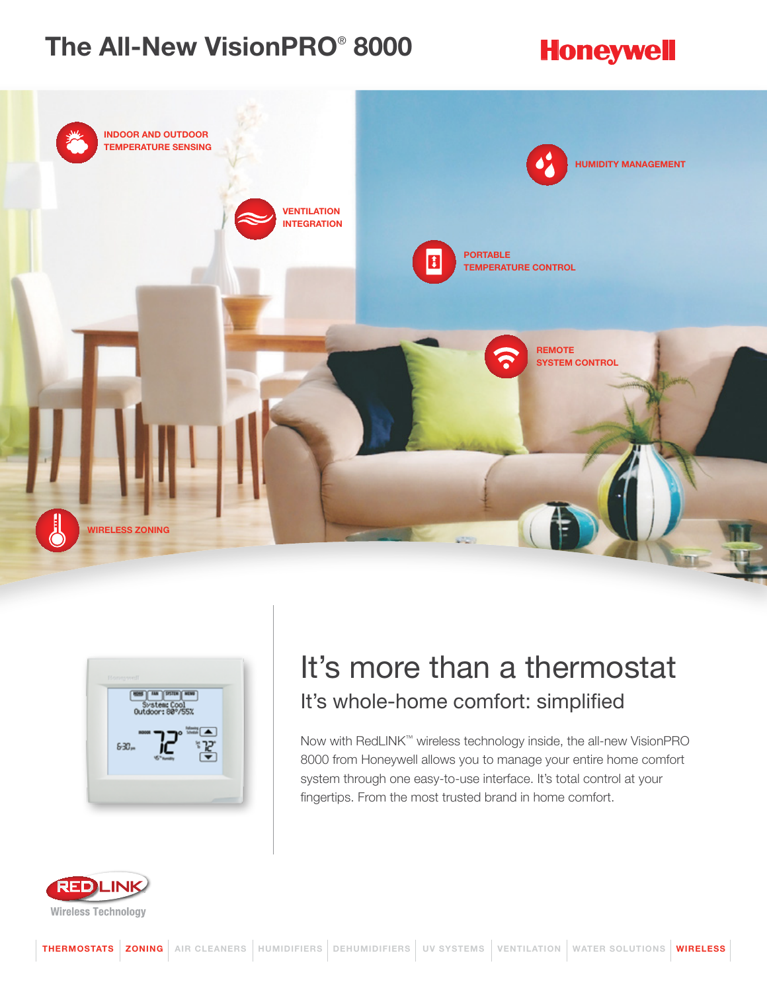## The All-New VisionPRO® 8000

## **Honeywell**





## It's more than a thermostat It's whole-home comfort: simplified

Now with RedLINK™ wireless technology inside, the all-new VisionPRO 8000 from Honeywell allows you to manage your entire home comfort system through one easy-to-use interface. It's total control at your fingertips. From the most trusted brand in home comfort.